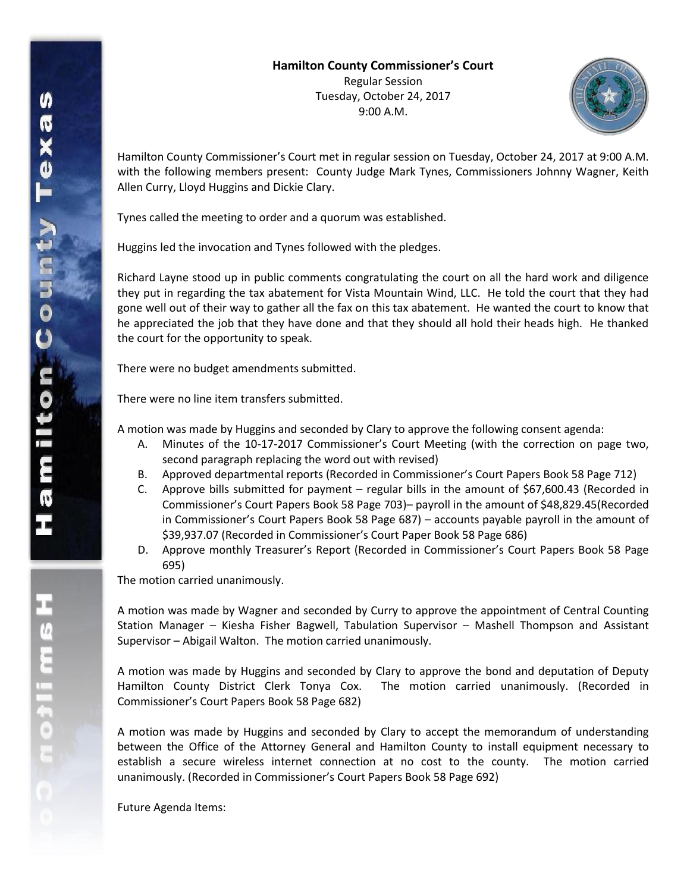

Hamilton County Commissioner's Court met in regular session on Tuesday, October 24, 2017 at 9:00 A.M. with the following members present: County Judge Mark Tynes, Commissioners Johnny Wagner, Keith Allen Curry, Lloyd Huggins and Dickie Clary.

Tynes called the meeting to order and a quorum was established.

Huggins led the invocation and Tynes followed with the pledges.

Richard Layne stood up in public comments congratulating the court on all the hard work and diligence they put in regarding the tax abatement for Vista Mountain Wind, LLC. He told the court that they had gone well out of their way to gather all the fax on this tax abatement. He wanted the court to know that he appreciated the job that they have done and that they should all hold their heads high. He thanked the court for the opportunity to speak.

There were no budget amendments submitted.

There were no line item transfers submitted.

A motion was made by Huggins and seconded by Clary to approve the following consent agenda:

- A. Minutes of the 10-17-2017 Commissioner's Court Meeting (with the correction on page two, second paragraph replacing the word out with revised)
- B. Approved departmental reports (Recorded in Commissioner's Court Papers Book 58 Page 712)
- C. Approve bills submitted for payment regular bills in the amount of \$67,600.43 (Recorded in Commissioner's Court Papers Book 58 Page 703)– payroll in the amount of \$48,829.45(Recorded in Commissioner's Court Papers Book 58 Page 687) – accounts payable payroll in the amount of \$39,937.07 (Recorded in Commissioner's Court Paper Book 58 Page 686)
- D. Approve monthly Treasurer's Report (Recorded in Commissioner's Court Papers Book 58 Page 695)

The motion carried unanimously.

A motion was made by Wagner and seconded by Curry to approve the appointment of Central Counting Station Manager – Kiesha Fisher Bagwell, Tabulation Supervisor – Mashell Thompson and Assistant Supervisor – Abigail Walton. The motion carried unanimously.

A motion was made by Huggins and seconded by Clary to approve the bond and deputation of Deputy Hamilton County District Clerk Tonya Cox. The motion carried unanimously. (Recorded in Commissioner's Court Papers Book 58 Page 682)

A motion was made by Huggins and seconded by Clary to accept the memorandum of understanding between the Office of the Attorney General and Hamilton County to install equipment necessary to establish a secure wireless internet connection at no cost to the county. The motion carried unanimously. (Recorded in Commissioner's Court Papers Book 58 Page 692)

Future Agenda Items:

エムミニャウェ